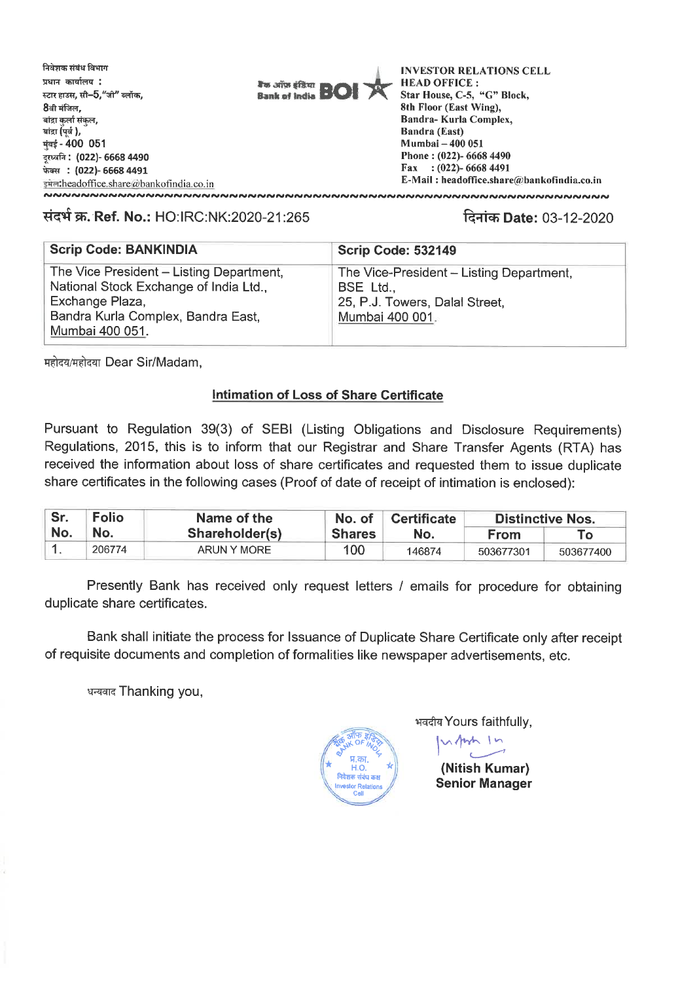

# **T171-i i. Ref. No.:** HO:IRC:NK:2020-21:265 **q-uch Date:** 03-12-2020

| <b>Scrip Code: BANKINDIA</b>                                                                                                                                   | <b>Scrip Code: 532149</b>                                                                                |
|----------------------------------------------------------------------------------------------------------------------------------------------------------------|----------------------------------------------------------------------------------------------------------|
| The Vice President - Listing Department,<br>National Stock Exchange of India Ltd.,<br>Exchange Plaza,<br>Bandra Kurla Complex, Bandra East,<br>Mumbai 400 051. | The Vice-President - Listing Department,<br>BSE Ltd<br>25, P.J. Towers, Dalal Street,<br>Mumbai 400 001. |

महोदय/महोदया Dear Sir/Madam.

## **Intimation of Loss of Share Certificate**

**Pursuant to Regulation 39(3) of SEBI (Listing Obligations and Disclosure Requirements) Regulations, 2015, this is to inform that our Registrar and Share Transfer Agents (RTA) has received the information about loss of share certificates and requested them to issue duplicate share certificates in the following cases (Proof of date of receipt of intimation is enclosed):** 

| Sr. | <b>Folio</b> | Name of the    | No. of        | <b>Certificate</b> | <b>Distinctive Nos.</b> |           |
|-----|--------------|----------------|---------------|--------------------|-------------------------|-----------|
| No. | No.          | Shareholder(s) | <b>Shares</b> | No.                | <b>From</b>             | To:       |
|     | 206774       | ARUN Y MORE    | 100           | 146874             | 503677301               | 503677400 |

**Presently Bank has received only request letters / emails for procedure for obtaining duplicate share certificates.** 

**Bank shall initiate the process for Issuance of Duplicate Share Certificate only after receipt of requisite documents and completion of formalities like newspaper advertisements, etc.** 

**tr-ra-r -Thanking you,** 



भवदीय Yours faithfully,  $v_1/mh$  In

> **(Nitish Kumar) Senior Manager**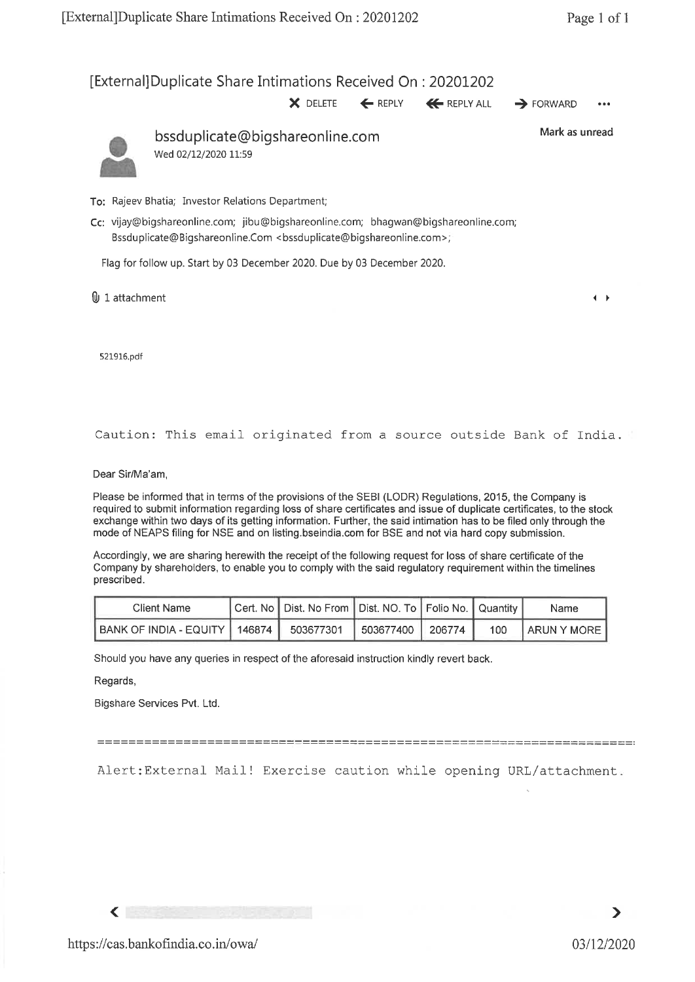# [External]Duplicate Share Intimations Received On : 20201202

X DELETE 4— REPLY **<4** REPLY ALL **4** FORWARD •••



bssduplicate@bigshareonline.com Mark as unread Wed 02/12/2020 11:59

- To: Rajeev Bhatia; Investor Relations Department;
- Cc: vijay@bigshareonline.com; jibu@bigshareonline.com; bhagwan@bigshareonline.com; Bssduplicate@Bigshareonline.Com <bssduplicate@bigshareonline.com>;

Flag for follow up. Start by 03 December 2020. Due by 03 December 2020.

 $\mathbb 0$  1 attachment  $\overline{\phantom{a}}$ 

521916.pdf

### Caution: This email originated from a source outside Bank of India.

Dear Sir/Ma'am,

Please be informed that in terms of the provisions of the SEBI (LODR) Regulations, 2015, the Company is required to submit information regarding loss of share certificates and issue of duplicate certificates, to the stock exchange within two days of its getting information. Further, the said intimation has to be filed only through the mode of NEAPS filing for NSE and on listing.bseindia.com for BSE and not via hard copy submission.

Accordingly, we are sharing herewith the receipt of the following request for loss of share certificate of the Company by shareholders, to enable you to comply with the said regulatory requirement within the timelines prescribed.

| Client Name                     | Cert. No   Dist. No From   Dist. NO. To   Folio No.   Quantity |  |     | <b>Name</b>         |
|---------------------------------|----------------------------------------------------------------|--|-----|---------------------|
| BANK OF INDIA - EQUITY   146874 | 503677301 503677400 206774                                     |  | 100 | <b>LARUN Y MORE</b> |

Should you have any queries in respect of the aforesaid instruction kindly revert back.

Regards,

Bigshare Services Pvt. Ltd.

Alert:External Mail! Exercise caution while opening URL/attachment.

 $\left\langle \right\rangle$ 

 $\blacktriangleright$